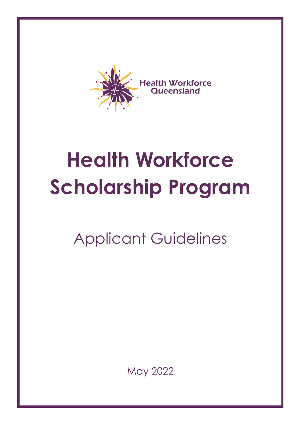

# **Health Workforce Scholarship Program**

## Applicant Guidelines

May 2022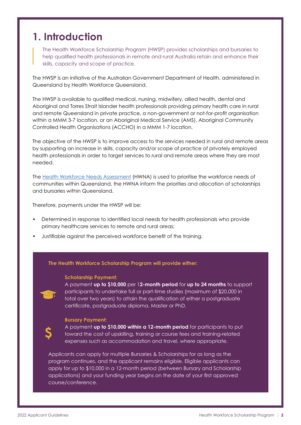### **1. Introduction**

The Health Workforce Scholarship Program (HWSP) provides scholarships and bursaries to help qualified health professionals in remote and rural Australia retain and enhance their skills, capacity and scope of practice.

The HWSP is an initiative of the Australian Government Department of Health, administered in Queensland by Health Workforce Queensland.

The HWSP is available to qualified medical, nursing, midwifery, allied health, dental and Aboriginal and Torres Strait Islander health professionals providing primary health care in rural and remote Queensland in private practice, a non-government or not-for-profit organisation within a MMM 3-7 location, or an Aboriginal Medical Service (AMS), Aboriginal Community Controlled Health Organisations (ACCHO) in a MMM 1-7 location.

The objective of the HWSP is to improve access to the services needed in rural and remote areas by supporting an increase in skills, capacity and/or scope of practice of privately employed health professionals in order to target services to rural and remote areas where they are most needed.

The [Health Workforce Needs Assessment](https://www.healthworkforce.com.au/hwna) (HWNA) is used to prioritise the workforce needs of communities within Queensland, the HWNA inform the priorities and allocation of scholarships and bursaries within Queensland.

Therefore, payments under the HWSP will be:

- Determined in response to identified local needs for health professionals who provide primary healthcare services to remote and rural areas;
- Justifiable against the perceived workforce benefit of the training.

### **The Health Workforce Scholarship Program will provide either:**

#### **Scholarship Payment:**

A payment **up to \$10,000** per 1**2-month period** for **up to 24 months** to support participants to undertake full or part-time studies (maximum of \$20,000 in total over two years) to attain the qualification of either a postgraduate certificate, postgraduate diploma, Master or PhD.

#### **Bursary Payment:**

A payment **up to \$10,000 within a 12-month period** for participants to put toward the cost of upskilling, training or course fees and training-related expenses such as accommodation and travel, where appropriate.

Applicants can apply for multiple Bursaries & Scholarships for as long as the program continues, and the applicant remains eligible. Eligible applicants can apply for up to \$10,000 in a 12-month period (between Bursary and Scholarship applications) and your funding year begins on the date of your first approved course/conference.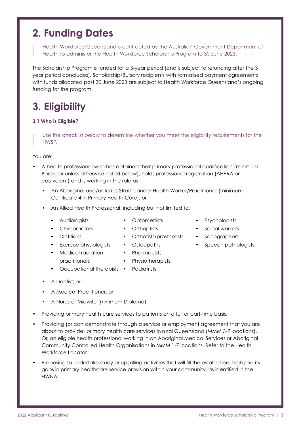### **2. Funding Dates**

Health Workforce Queensland is contracted by the Australian Government Department of Health to administer the Health Workforce Scholarship Program to 30 June 2023.

The Scholarship Program is funded for a 3-year period (and is subject to refunding after the 3 year period concludes). Scholarship/Bursary recipients with formalised payment agreements with funds allocated post 30 June 2023 are subject to Health Workforce Queensland's ongoing funding for the program.

### **3. Eligibility**

### **3.1 Who is Eligible?**

Use the checklist below to determine whether you meet the eligibility requirements for the **HWSP** 

### You are:

- A health professional who has obtained their primary professional qualification (minimum Bachelor unless otherwise noted below), holds professional registration (AHPRA or equivalent) and is working in the role as:
	- An Aboriginal and/or Torres Strait Islander Health Worker/Practitioner (minimum Certificate 4 in Primary Health Care); or
	- An Allied Health Professional, including but not limited to:
		- Audiologists

• Chiropractors

- Optometrists
- Orthoptists
- Dietitians
	- Exercise physiologists
- 
- Medical radiation practitioners
- 
- **Physiotherapists**
- Occupational therapists **Podiatrists**
- A Dentist; or
- A Medical Practitioner; or
- A Nurse or Midwife (minimum Diploma)
- Providing primary health care services to patients on a full or part-time basis.
- Providing (or can demonstrate through a service or employment agreement that you are about to provide) primary health care services in rural Queensland (MMM 3-7 locations). Or, an eligible health professional working in an Aboriginal Medical Services or Aboriginal Community Controlled Health Organisations in MMM 1-7 locations. Refer to the Health Workforce Locator.
- Proposing to undertake study or upskilling activities that will fill the established, high priority gaps in primary healthcare service provision within your community, as identified in the HWNA.
- Psychologists
- Social workers
- Sonographers
- Speech pathologists
- Orthotists/prosthetists • Osteopaths
- Pharmacists
-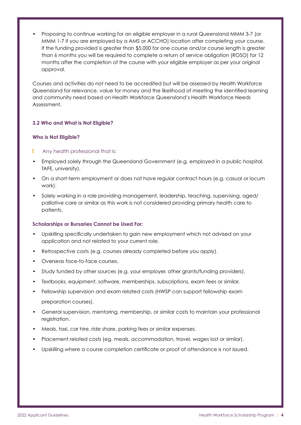• Proposing to continue working for an eligible employer in a rural Queensland MMM 3-7 (or MMM 1-7 if you are employed by a AMS or ACCHO) location after completing your course. If the funding provided is greater than \$5,000 for one course and/or course length is greater than 6 months you will be required to complete a return of service obligation (ROSO) for 12 months after the completion of the course with your eligible employer as per your original approval.

Courses and activities do not need to be accredited but will be assessed by Health Workforce Queensland for relevance, value for money and the likelihood of meeting the identified learning and community need based on Health Workforce Queensland's Health Workforce Needs Assessment.

### **3.2 Who and What is Not Eligible?**

### **Who is Not Eligible?**

- L Any health professional that is:
- Employed solely through the Queensland Government (e.g. employed in a public hospital, TAFE, university).
- On a short-term employment or does not have regular contract hours (e.g. casual or locum work).
- Solely working in a role providing management, leadership, teaching, supervising, aged/ palliative care or similar as this work is not considered providing primary health care to patients.

### **Scholarships or Bursaries Cannot be Used For:**

- Upskilling specifically undertaken to gain new employment which not advised on your application and not related to your current role.
- Retrospective costs (e.g. courses already completed before you apply).
- Overseas face-to-face courses.
- Study funded by other sources (e.g. your employer, other grants/funding providers).
- Textbooks, equipment, software, memberships, subscriptions, exam fees or similar.
- Fellowship supervision and exam related costs (HWSP can support fellowship exam preparation courses).
- General supervision, mentoring, membership, or similar costs to maintain your professional registration.
- Meals, taxi, car hire, ride share, parking fees or similar expenses.
- Placement related costs (eg. meals, accommodation, travel, wages lost or similar).
- Upskilling where a course completion certificate or proof of attendance is not issued.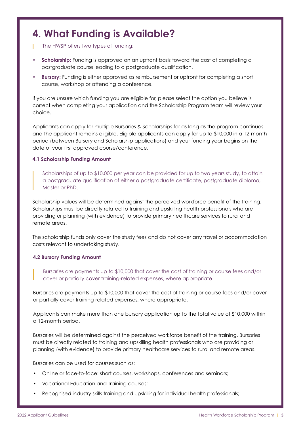### **4. What Funding is Available?**

- The HWSP offers two types of funding: г
- **• Scholarship:** Funding is approved on an upfront basis toward the cost of completing a postgraduate course leading to a postgraduate qualification.
- **• Bursary:** Funding is either approved as reimbursement or upfront for completing a short course, workshop or attending a conference.

If you are unsure which funding you are eligible for, please select the option you believe is correct when completing your application and the Scholarship Program team will review your choice.

Applicants can apply for multiple Bursaries & Scholarships for as long as the program continues and the applicant remains eligible. Eligible applicants can apply for up to \$10,000 in a 12-month period (between Bursary and Scholarship applications) and your funding year begins on the date of your first approved course/conference.

### **4.1 Scholarship Funding Amount**

Scholarships of up to \$10,000 per year can be provided for up to two years study, to attain a postgraduate qualification of either a postgraduate certificate, postgraduate diploma, Master or PhD.

Scholarship values will be determined against the perceived workforce benefit of the training. Scholarships must be directly related to training and upskilling health professionals who are providing or planning (with evidence) to provide primary healthcare services to rural and remote areas.

The scholarship funds only cover the study fees and do not cover any travel or accommodation costs relevant to undertaking study.

### **4.2 Bursary Funding Amount**

Bursaries are payments up to \$10,000 that cover the cost of training or course fees and/or cover or partially cover training-related expenses, where appropriate.

Bursaries are payments up to \$10,000 that cover the cost of training or course fees and/or cover or partially cover training-related expenses, where appropriate.

Applicants can make more than one bursary application up to the total value of \$10,000 within a 12-month period.

Bursaries will be determined against the perceived workforce benefit of the training. Bursaries must be directly related to training and upskilling health professionals who are providing or planning (with evidence) to provide primary healthcare services to rural and remote areas.

Bursaries can be used for courses such as:

- Online or face-to-face: short courses, workshops, conferences and seminars;
- Vocational Education and Training courses;
- Recognised industry skills training and upskilling for individual health professionals;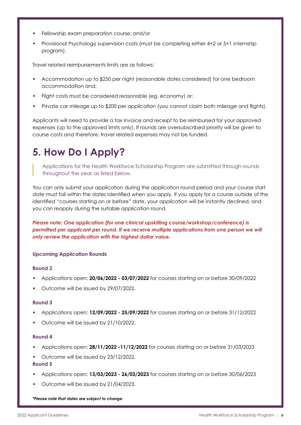- Fellowship exam preparation course; and/or
- Provisional Psychology supervision costs (must be completing either 4+2 or 5+1 internship program).

Travel related reimbursements limits are as follows:

- Accommodation up to \$250 per night (reasonable dates considered) for one bedroom accommodation and;
- Flight costs must be considered reasonable (eg. economy) or;
- Private car mileage up to \$200 per application (you cannot claim both mileage and flights).

Applicants will need to provide a tax invoice and receipt to be reimbursed for your approved expenses (up to the approved limits only). If rounds are oversubscribed priority will be given to course costs and therefore, travel related expenses may not be funded.

### **5. How Do I Apply?**

Applications for the Health Workforce Scholarship Program are submitted through rounds throughout the year, as listed below.

You can only submit your application during the application round period and your course start date must fall within the dates identified when you apply. If you apply for a course outside of the identified "courses starting on or before" date, your application will be instantly declined, and you can reapply during the suitable application round.

*Please note: One application (for one clinical upskilling course/workshop/conference) is*  permitted per applicant per round. If we receive multiple applications from one person we will *only review the application with the highest dollar value.*

### **Upcoming Application Rounds**

### **Round 2**

- Applications open: **20/06/2022 03/07/2022** for courses starting on or before 30/09/2022
- Outcome will be issued by 29/07/2022.

### **Round 3**

- Applications open: **12/09/2022 25/09/2022** for courses starting on or before 31/12/2022
- Outcome will be issued by 21/10/2022.

### **Round 4**

- Applications open: **28/11/2022 -11/12/2022** for courses starting on or before 31/03/2023
- Outcome will be issued by 23/12/2022.

### **Round 5**

- Applications open: **13/03/2023 26/03/2023** for courses starting on or before 30/06/2023
- Outcome will be issued by 21/04/2023.

*\*Please note that dates are subject to change*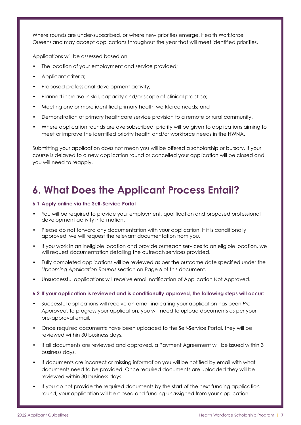Where rounds are under-subscribed, or where new priorities emerge, Health Workforce Queensland may accept applications throughout the year that will meet identified priorities.

Applications will be assessed based on:

- The location of your employment and service provided;
- Applicant criteria;
- Proposed professional development activity;
- Planned increase in skill, capacity and/or scope of clinical practice;
- Meeting one or more identified primary health workforce needs; and
- Demonstration of primary healthcare service provision to a remote or rural community.
- Where application rounds are oversubscribed, priority will be given to applications aiming to meet or improve the identified priority health and/or workforce needs in the HWNA.

Submitting your application does not mean you will be offered a scholarship or bursary. If your course is delayed to a new application round or cancelled your application will be closed and you will need to reapply.

### **6. What Does the Applicant Process Entail?**

### **6.1 Apply online via the Self-Service Portal**

- You will be required to provide your employment, qualification and proposed professional development activity information.
- Please do not forward any documentation with your application. If it is conditionally approved, we will request the relevant documentation from you.
- If you work in an ineligible location and provide outreach services to an eligible location, we will request documentation detailing the outreach services provided.
- Fully completed applications will be reviewed as per the outcome date specified under the *Upcoming Application Rounds* section on Page 6 of this document.
- Unsuccessful applications will receive email notification of Application Not Approved.

### **6.2 If your application is reviewed and is conditionally approved, the following steps will occur:**

- Successful applications will receive an email indicating your application has been *Pre-Approved*. To progress your application, you will need to upload documents as per your pre-approval email.
- Once required documents have been uploaded to the Self-Service Portal, they will be reviewed within 30 business days.
- If all documents are reviewed and approved, a Payment Agreement will be issued within 3 business days.
- If documents are incorrect or missing information you will be notified by email with what documents need to be provided. Once required documents are uploaded they will be reviewed within 30 business days.
- If you do not provide the required documents by the start of the next funding application round, your application will be closed and funding unassigned from your application.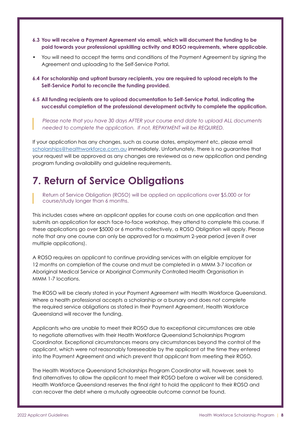- **6.3 You will receive a Payment Agreement via email, which will document the funding to be paid towards your professional upskilling activity and ROSO requirements, where applicable.**
- You will need to accept the terms and conditions of the Payment Agreement by signing the Agreement and uploading to the Self-Service Portal.
- **6.4 For scholarship and upfront bursary recipients, you are required to upload receipts to the Self-Service Portal to reconcile the funding provided.**
- **6.5 All funding recipients are to upload documentation to Self-Service Portal, indicating the successful completion of the professional development activity to complete the application.**

*Please note that you have 30 days AFTER your course end date to upload ALL documents needed to complete the application. If not, REPAYMENT will be REQUIRED.*

If your application has any changes, such as course dates, employment etc, please email [scholarships@healthworkforce.com.au](mailto:scholarships%40healthworkforce.com.au?subject=) immediately. Unfortunately, there is no guarantee that your request will be approved as any changes are reviewed as a new application and pending program funding availability and guideline requirements.

### **7. Return of Service Obligations**

Return of Service Obligation (ROSO) will be applied on applications over \$5,000 or for course/study longer than 6 months.

This includes cases where an applicant applies for course costs on one application and then submits an application for each face-to-face workshop, they attend to complete this course. If these applications go over \$5000 or 6 months collectively, a ROSO Obligation will apply. Please note that any one course can only be approved for a maximum 2-year period (even if over multiple applications).

A ROSO requires an applicant to continue providing services with an eligible employer for 12 months on completion of the course and must be completed in a MMM 3-7 location or Aboriginal Medical Service or Aboriginal Community Controlled Health Organisation in MMM 1-7 locations.

The ROSO will be clearly stated in your Payment Agreement with Health Workforce Queensland. Where a health professional accepts a scholarship or a bursary and does not complete the required service obligations as stated in their Payment Agreement, Health Workforce Queensland will recover the funding.

Applicants who are unable to meet their ROSO due to exceptional circumstances are able to negotiate alternatives with their Health Workforce Queensland Scholarships Program Coordinator. Exceptional circumstances means any circumstances beyond the control of the applicant, which were not reasonably foreseeable by the applicant at the time they entered into the Payment Agreement and which prevent that applicant from meeting their ROSO.

The Health Workforce Queensland Scholarships Program Coordinator will, however, seek to find alternatives to allow the applicant to meet their ROSO before a waiver will be considered. Health Workforce Queensland reserves the final right to hold the applicant to their ROSO and can recover the debt where a mutually agreeable outcome cannot be found.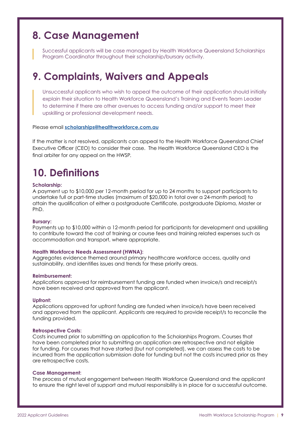### **8. Case Management**

Successful applicants will be case managed by Health Workforce Queensland Scholarships Program Coordinator throughout their scholarship/bursary activity.

### **9. Complaints, Waivers and Appeals**

Unsuccessful applicants who wish to appeal the outcome of their application should initially explain their situation to Health Workforce Queensland's Training and Events Team Leader to determine if there are other avenues to access funding and/or support to meet their upskilling or professional development needs.

### Please email **[scholarships@healthworkforce.com.au](mailto:scholarships%40healthworkforce.com.au?subject=)**

If the matter is not resolved, applicants can appeal to the Health Workforce Queensland Chief Executive Officer (CEO) to consider their case. The Health Workforce Queensland CEO is the final arbiter for any appeal on the HWSP.

### **10. Definitions**

### **Scholarship:**

A payment up to \$10,000 per 12-month period for up to 24 months to support participants to undertake full or part-time studies (maximum of \$20,000 in total over a 24-month period) to attain the qualification of either a postgraduate Certificate, postgraduate Diploma, Master or PhD.

### **Bursary:**

Payments up to \$10,000 within a 12-month period for participants for development and upskilling to contribute toward the cost of training or course fees and training related expenses such as accommodation and transport, where appropriate.

### **Health Workforce Needs Assessment (HWNA):**

Aggregates evidence themed around primary healthcare workforce access, quality and sustainability, and identifies issues and trends for these priority areas.

### **Reimbursement:**

Applications approved for reimbursement funding are funded when invoice/s and receipt/s have been received and approved from the applicant.

### **Upfront:**

Applications approved for upfront funding are funded when invoice/s have been received and approved from the applicant. Applicants are required to provide receipt/s to reconcile the funding provided.

### **Retrospective Costs:**

Costs incurred prior to submitting an application to the Scholarships Program. Courses that have been completed prior to submitting an application are retrospective and not eligible for funding. For courses that have started (but not completed), we can assess the costs to be incurred from the application submission date for funding but not the costs incurred prior as they are retrospective costs.

### **Case Management:**

The process of mutual engagement between Health Workforce Queensland and the applicant to ensure the right level of support and mutual responsibility is in place for a successful outcome.